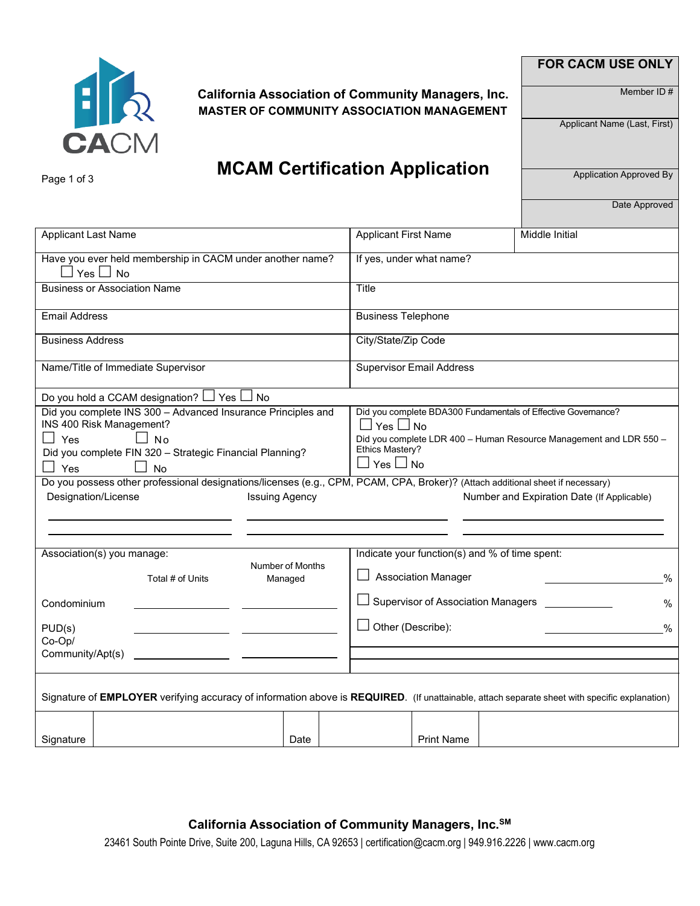

**California Association of Community Managers, Inc. MASTER OF COMMUNITY ASSOCIATION MANAGEMENT**

**FOR CACM USE ONLY**

Member ID #

Date Approved

Applicant Name (Last, First)

# Page 1 of 3 **MCAM Certification Application**

| <b>Applicant Last Name</b>                                                                                                                                                                          |                                                                                                                                |                             |  | <b>Applicant First Name</b>                                                                                                                                                                  |                                                |  | Middle Initial                                                  |  |
|-----------------------------------------------------------------------------------------------------------------------------------------------------------------------------------------------------|--------------------------------------------------------------------------------------------------------------------------------|-----------------------------|--|----------------------------------------------------------------------------------------------------------------------------------------------------------------------------------------------|------------------------------------------------|--|-----------------------------------------------------------------|--|
| Have you ever held membership in CACM under another name?<br>$Yes \Box No$                                                                                                                          |                                                                                                                                |                             |  | If yes, under what name?                                                                                                                                                                     |                                                |  |                                                                 |  |
| <b>Business or Association Name</b>                                                                                                                                                                 |                                                                                                                                |                             |  | Title                                                                                                                                                                                        |                                                |  |                                                                 |  |
| <b>Email Address</b>                                                                                                                                                                                |                                                                                                                                |                             |  | <b>Business Telephone</b>                                                                                                                                                                    |                                                |  |                                                                 |  |
| <b>Business Address</b>                                                                                                                                                                             |                                                                                                                                |                             |  | City/State/Zip Code                                                                                                                                                                          |                                                |  |                                                                 |  |
| Name/Title of Immediate Supervisor                                                                                                                                                                  |                                                                                                                                |                             |  | <b>Supervisor Email Address</b>                                                                                                                                                              |                                                |  |                                                                 |  |
|                                                                                                                                                                                                     | Do you hold a CCAM designation? $\Box$ Yes $\Box$ No                                                                           |                             |  |                                                                                                                                                                                              |                                                |  |                                                                 |  |
| Did you complete INS 300 - Advanced Insurance Principles and<br>INS 400 Risk Management?<br>$\Box$ No<br>$\Box$ Yes<br>Did you complete FIN 320 - Strategic Financial Planning?<br>Yes<br><b>No</b> |                                                                                                                                |                             |  | Did you complete BDA300 Fundamentals of Effective Governance?<br>$\Box$ Yes $\Box$ No<br>Did you complete LDR 400 - Human Resource Management and LDR 550 -<br>Ethics Mastery?<br>∟ Yes ∟ No |                                                |  |                                                                 |  |
|                                                                                                                                                                                                     | Do you possess other professional designations/licenses (e.g., CPM, PCAM, CPA, Broker)? (Attach additional sheet if necessary) |                             |  |                                                                                                                                                                                              |                                                |  |                                                                 |  |
| Designation/License<br><b>Issuing Agency</b>                                                                                                                                                        |                                                                                                                                |                             |  |                                                                                                                                                                                              |                                                |  | Number and Expiration Date (If Applicable)                      |  |
|                                                                                                                                                                                                     |                                                                                                                                |                             |  |                                                                                                                                                                                              |                                                |  |                                                                 |  |
|                                                                                                                                                                                                     | Association(s) you manage:                                                                                                     |                             |  |                                                                                                                                                                                              | Indicate your function(s) and % of time spent: |  |                                                                 |  |
| Total # of Units                                                                                                                                                                                    |                                                                                                                                | Number of Months<br>Managed |  | <b>Association Manager</b><br>$\%$                                                                                                                                                           |                                                |  |                                                                 |  |
| Condominium                                                                                                                                                                                         |                                                                                                                                |                             |  |                                                                                                                                                                                              |                                                |  | Supervisor of Association Managers ___________<br>$\frac{0}{0}$ |  |
| PUD(s)<br>$Co-Op/$<br>Community/Apt(s)                                                                                                                                                              |                                                                                                                                |                             |  | $\Box$ Other (Describe):                                                                                                                                                                     |                                                |  | $\%$                                                            |  |
|                                                                                                                                                                                                     |                                                                                                                                |                             |  |                                                                                                                                                                                              |                                                |  |                                                                 |  |
| Signature of EMPLOYER verifying accuracy of information above is REQUIRED. (If unattainable, attach separate sheet with specific explanation)                                                       |                                                                                                                                |                             |  |                                                                                                                                                                                              |                                                |  |                                                                 |  |
|                                                                                                                                                                                                     |                                                                                                                                |                             |  |                                                                                                                                                                                              |                                                |  |                                                                 |  |
| Signature                                                                                                                                                                                           |                                                                                                                                | Date                        |  |                                                                                                                                                                                              | <b>Print Name</b>                              |  |                                                                 |  |

**California Association of Community Managers, Inc.SM**

23461 South Pointe Drive, Suite 200, Laguna Hills, CA 92653 | [certification@cacm.org](mailto:certification@cacm.org) | 949.916.2226 | [www.cacm.org](http://www.cacm.org/)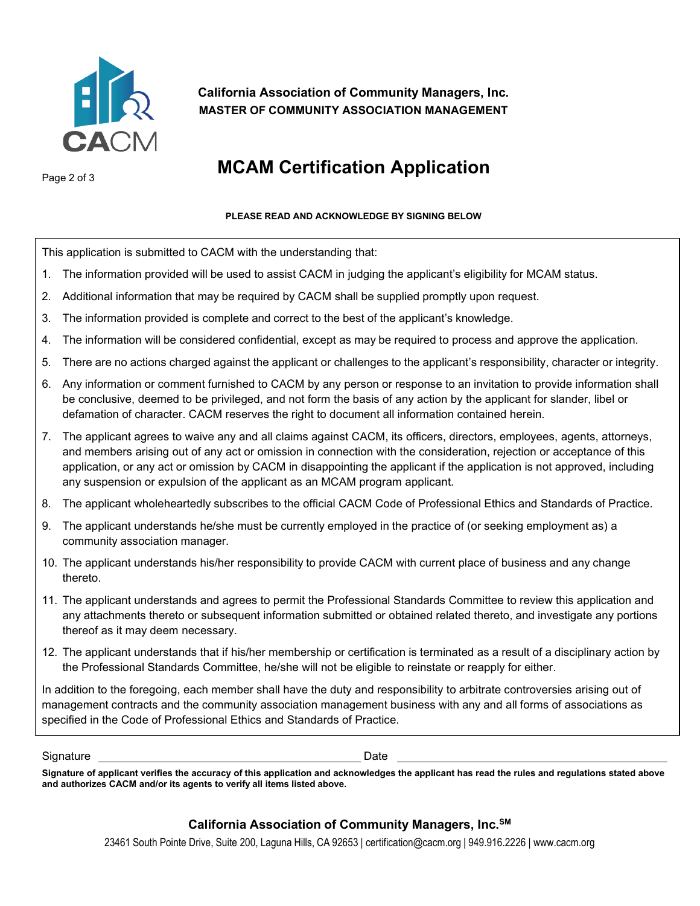

### **California Association of Community Managers, Inc. MASTER OF COMMUNITY ASSOCIATION MANAGEMENT**

# Page <sup>2</sup> of <sup>3</sup> **MCAM Certification Application**

#### **PLEASE READ AND ACKNOWLEDGE BY SIGNING BELOW**

This application is submitted to CACM with the understanding that:

- 1. The information provided will be used to assist CACM in judging the applicant's eligibility for MCAM status.
- 2. Additional information that may be required by CACM shall be supplied promptly upon request.
- 3. The information provided is complete and correct to the best of the applicant's knowledge.
- 4. The information will be considered confidential, except as may be required to process and approve the application.
- 5. There are no actions charged against the applicant or challenges to the applicant's responsibility, character or integrity.
- 6. Any information or comment furnished to CACM by any person or response to an invitation to provide information shall be conclusive, deemed to be privileged, and not form the basis of any action by the applicant for slander, libel or defamation of character. CACM reserves the right to document all information contained herein.
- 7. The applicant agrees to waive any and all claims against CACM, its officers, directors, employees, agents, attorneys, and members arising out of any act or omission in connection with the consideration, rejection or acceptance of this application, or any act or omission by CACM in disappointing the applicant if the application is not approved, including any suspension or expulsion of the applicant as an MCAM program applicant.
- 8. The applicant wholeheartedly subscribes to the official CACM Code of Professional Ethics and Standards of Practice.
- 9. The applicant understands he/she must be currently employed in the practice of (or seeking employment as) a community association manager.
- 10. The applicant understands his/her responsibility to provide CACM with current place of business and any change thereto.
- 11. The applicant understands and agrees to permit the Professional Standards Committee to review this application and any attachments thereto or subsequent information submitted or obtained related thereto, and investigate any portions thereof as it may deem necessary.
- 12. The applicant understands that if his/her membership or certification is terminated as a result of a disciplinary action by the Professional Standards Committee, he/she will not be eligible to reinstate or reapply for either.

In addition to the foregoing, each member shall have the duty and responsibility to arbitrate controversies arising out of management contracts and the community association management business with any and all forms of associations as specified in the Code of Professional Ethics and Standards of Practice.

Signature Date **Date** 

**Signature of applicant verifies the accuracy of this application and acknowledges the applicant has read the rules and regulations stated above and authorizes CACM and/or its agents to verify all items listed above.**

### **California Association of Community Managers, Inc.SM**

23461 South Pointe Drive, Suite 200, Laguna Hills, CA 92653 | [certification@cacm.org](mailto:certification@cacm.org) | 949.916.2226 | [www.cacm.org](http://www.cacm.org/)